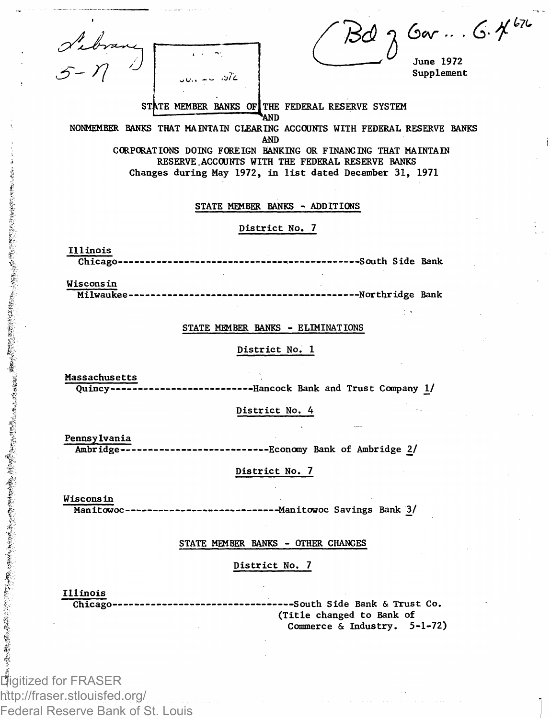| $60 - .6.442$<br><b>June 1972</b><br>Supplement<br>STATE MEMBER BANKS OF THE FEDERAL RESERVE SYSTEM<br>NONMEMBER BANKS THAT MAINTAIN CLEARING ACCOUNTS WITH FEDERAL RESERVE BANKS<br>CORPORATIONS DOING FOREIGN BANKING OR FINANCING THAT MAINTAIN<br>RESERVE ACCOUNTS WITH THE FEDERAL RESERVE BANKS<br>Changes during May 1972, in list dated December 31, 1971 |
|-------------------------------------------------------------------------------------------------------------------------------------------------------------------------------------------------------------------------------------------------------------------------------------------------------------------------------------------------------------------|
|                                                                                                                                                                                                                                                                                                                                                                   |
|                                                                                                                                                                                                                                                                                                                                                                   |
| -----------------South Side Bank                                                                                                                                                                                                                                                                                                                                  |
| --------Northridge Bank                                                                                                                                                                                                                                                                                                                                           |
|                                                                                                                                                                                                                                                                                                                                                                   |
|                                                                                                                                                                                                                                                                                                                                                                   |
| --------------Hancock Bank and Trust Company 1/                                                                                                                                                                                                                                                                                                                   |
|                                                                                                                                                                                                                                                                                                                                                                   |
| Ambridge---------------------------Economy Bank of Ambridge 2/                                                                                                                                                                                                                                                                                                    |
|                                                                                                                                                                                                                                                                                                                                                                   |
| Manitowoc-------------------------------- Manitowoc Savings Bank 3/                                                                                                                                                                                                                                                                                               |
|                                                                                                                                                                                                                                                                                                                                                                   |
| ---South Side Bank & Trust Co.<br>(Title changed to Bank of<br>Commerce & Industry. 5-1-72)                                                                                                                                                                                                                                                                       |
|                                                                                                                                                                                                                                                                                                                                                                   |

Digitized for FRASER http://fraser.stlouisfed.org/ Federal Reserve Bank of St. Louis